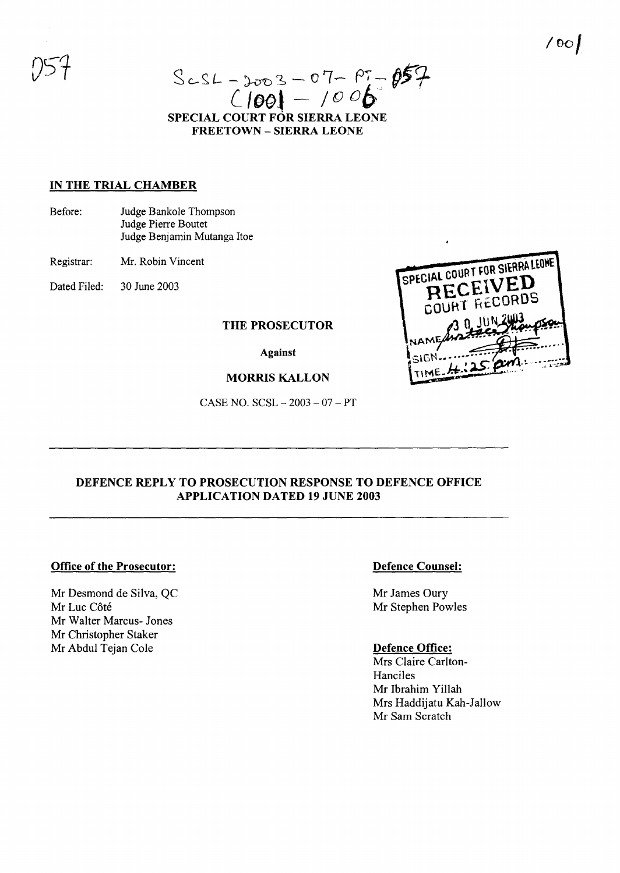$Sc-SL - 2003 - 07 - 07 - 05$ <br>C1001 - 1006 **SPECIAL COURT FOR SIERRA LEONE FREETOWN - SIERRA LEONE**

## **IN THE TRIAL CHAMBER**

Before: Judge Bankole Thompson Judge Pierre Boutet Judge Benjamin Mutanga Itoe

Registrar: Mr. Robin Vincent

Dated Filed: 30 June 2003

# **THE PROSECUTOR**

**Against**

#### **MORRIS KALLON**

CASE NO. SCSL - 2003 - 07 - PT



# **DEFENCE REPLY TO PROSECUTION RESPONSE TO DEFENCE OFFICE APPLICATION DATED 19 JUNE 2003**

## **Office of the Prosecutor:**

Mr Desmond de Silva, QC Mr Luc Côté Mr Walter Marcus- Jones Mr Christopher Staker Mr Abdul Tejan Cole

## **Defence Counsel:**

Mr James Oury Mr Stephen Powles

#### **Defence Office:**

Mrs Claire Carlton-Hanciles Mr Ibrahim Yillah Mrs Haddijatu Kah-Jallow Mr Sam Scratch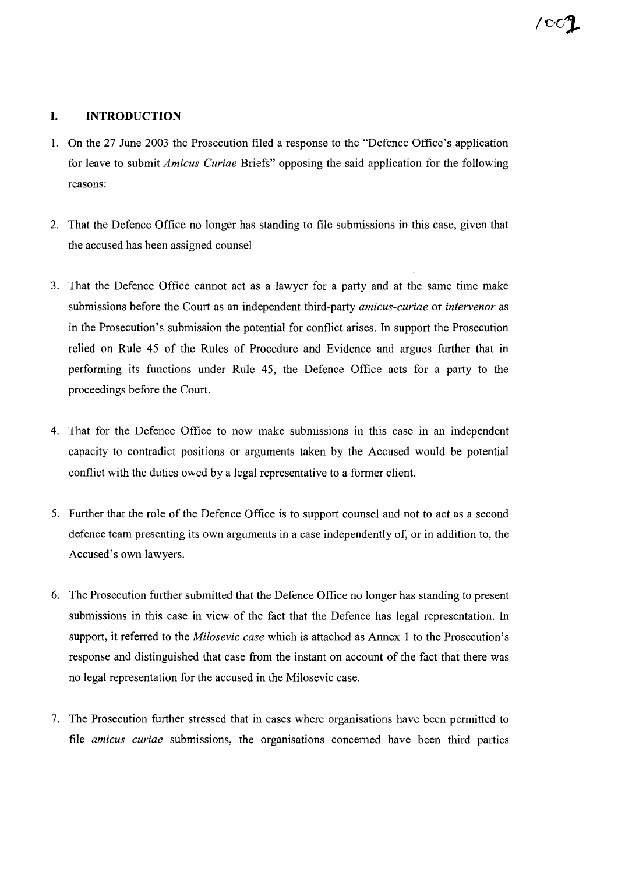# **I. INTRODUCTION**

- 1. On the 27 June 2003 the Prosecution filed a response to the "Defence Office's application for leave to submit *Amicus Curiae* Briefs" opposing the said application for the following reasons:
- 2. That the Defence Office no longer has standing to file submissions in this case, given that the accused has been assigned counsel
- 3. That the Defence Office cannot act as a lawyer for a party and at the same time make submissions before the Court as an independent third-party *amicus-curiae* or *intervenor* as in the Prosecution's submission the potential for conflict arises. In support the Prosecution relied on Rule 45 of the Rules of Procedure and Evidence and argues further that in performing its functions under Rule 45, the Defence Office acts for a party to the proceedings before the Court.
- 4. That for the Defence Office to now make submissions in this case in an independent capacity to contradict positions or arguments taken by the Accused would be potential conflict with the duties owed by a legal representative to a former client.
- 5. Further that the role of the Defence Office is to support counsel and not to act as a second defence team presenting its own arguments in a case independently of, or in addition to, the Accused's own lawyers.
- 6. The Prosecution further submitted that the Defence Office no longer has standing to present submissions in this case in view of the fact that the Defence has legal representation. In support, it referred to the *Milosevic case* which is attached as Annex 1 to the Prosecution's response and distinguished that case from the instant on account of the fact that there was no legal representation for the accused in the Milosevic case.
- 7. The Prosecution further stressed that in cases where organisations have been permitted to file *amicus curiae* submissions, the organisations concerned have been third parties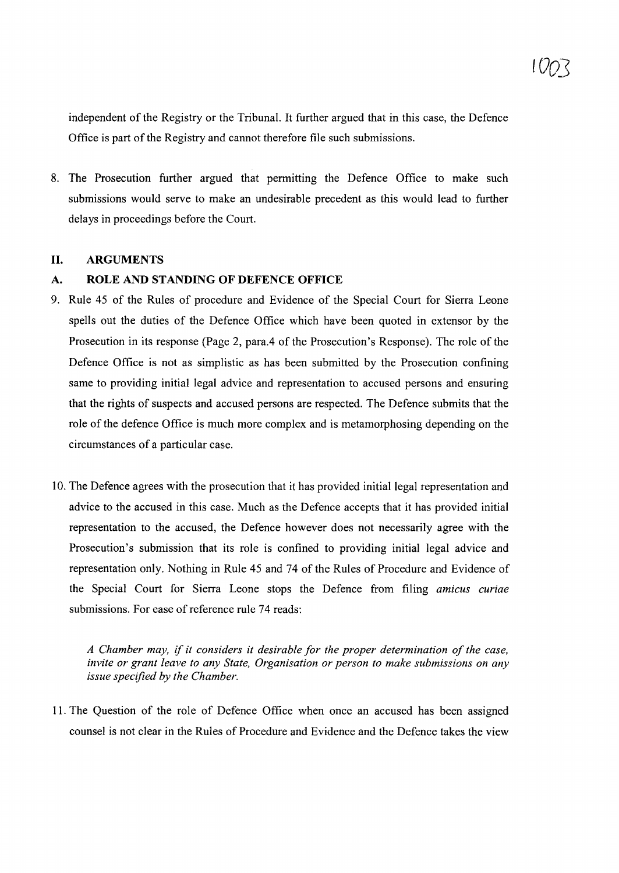independent of the Registry or the Tribunal. It further argued that in this case, the Defence Office is part of the Registry and cannot therefore file such submissions.

8. The Prosecution further argued that permitting the Defence Office to make such submissions would serve to make an undesirable precedent as this would lead to further delays in proceedings before the Court.

#### II. ARGUMENTS

## A. ROLE AND STANDING OF DEFENCE OFFICE

- 9. Rule 45 of the Rules of procedure and Evidence of the Special Court for Sierra Leone spells out the duties of the Defence Office which have been quoted in extensor by the Prosecution in its response (Page 2, para.4 of the Prosecution's Response). The role of the Defence Office is not as simplistic as has been submitted by the Prosecution confining same to providing initial legal advice and representation to accused persons and ensuring that the rights of suspects and accused persons are respected. The Defence submits that the role of the defence Office is much more complex and is metamorphosing depending on the circumstances of a particular case.
- 10. The Defence agrees with the prosecution that it has provided initial legal representation and advice to the accused in this case. Much as the Defence accepts that it has provided initial representation to the accused, the Defence however does not necessarily agree with the Prosecution's submission that its role is confined to providing initial legal advice and representation only. Nothing in Rule 45 and 74 of the Rules of Procedure and Evidence of the Special Court for Sierra Leone stops the Defence from filing *amicus curiae* submissions. For ease of reference rule 74 reads:

*A Chamber may,* if *it considers it desirable for the proper determination ofthe case, invite or grant leave to any State, Organisation or person to make submissions on any issue specified by the Chamber.*

11. The Question of the role of Defence Office when once an accused has been assigned counsel is not clear in the Rules of Procedure and Evidence and the Defence takes the view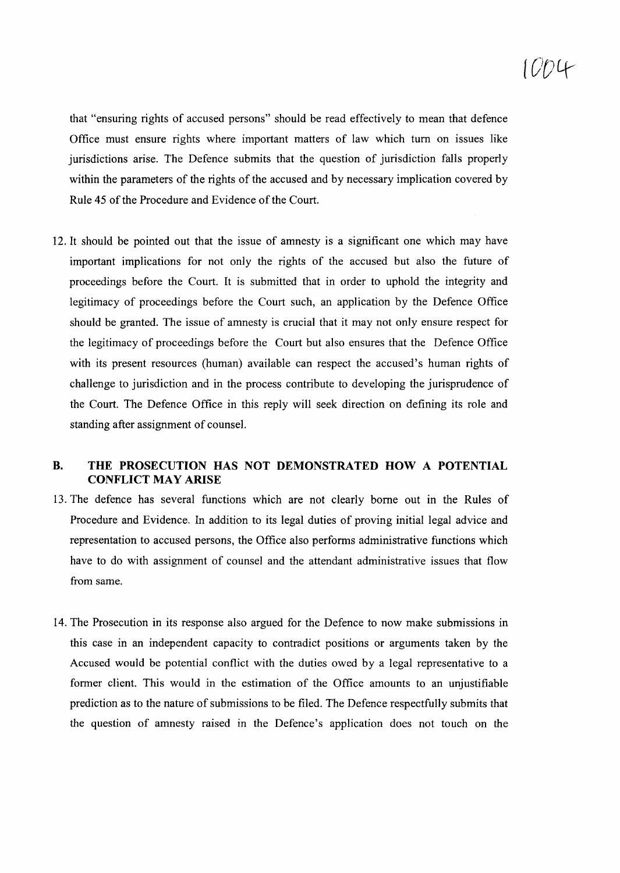# lDOlt

that "ensuring rights of accused persons" should be read effectively to mean that defence Office must ensure rights where important matters of law which tum on issues like jurisdictions arise. The Defence submits that the question of jurisdiction falls properly within the parameters of the rights of the accused and by necessary implication covered by Rule 45 of the Procedure and Evidence of the Court.

12. It should be pointed out that the issue of amnesty is a significant one which may have important implications for not only the rights of the accused but also the future of proceedings before the Court. It is submitted that in order to uphold the integrity and legitimacy of proceedings before the Court such, an application by the Defence Office should be granted. The issue of amnesty is crucial that it may not only ensure respect for the legitimacy of proceedings before the Court but also ensures that the Defence Office with its present resources (human) available can respect the accused's human rights of challenge to jurisdiction and in the process contribute to developing the jurisprudence of the Court. The Defence Office in this reply will seek direction on defining its role and standing after assignment of counsel.

# **B. THE PROSECUTION HAS NOT DEMONSTRATED HOW A POTENTIAL CONFLICT MAY ARISE**

- 13. The defence has several functions which are not clearly borne out in the Rules of Procedure and Evidence. In addition to its legal duties of proving initial legal advice and representation to accused persons, the Office also performs administrative functions which have to do with assignment of counsel and the attendant administrative issues that flow from same.
- 14. The Prosecution in its response also argued for the Defence to now make submissions in this case in an independent capacity to contradict positions or arguments taken by the Accused would be potential conflict with the duties owed by a legal representative to a former client. This would in the estimation of the Office amounts to an unjustifiable prediction as to the nature of submissions to be filed. The Defence respectfully submits that the question of amnesty raised in the Defence's application does not touch on the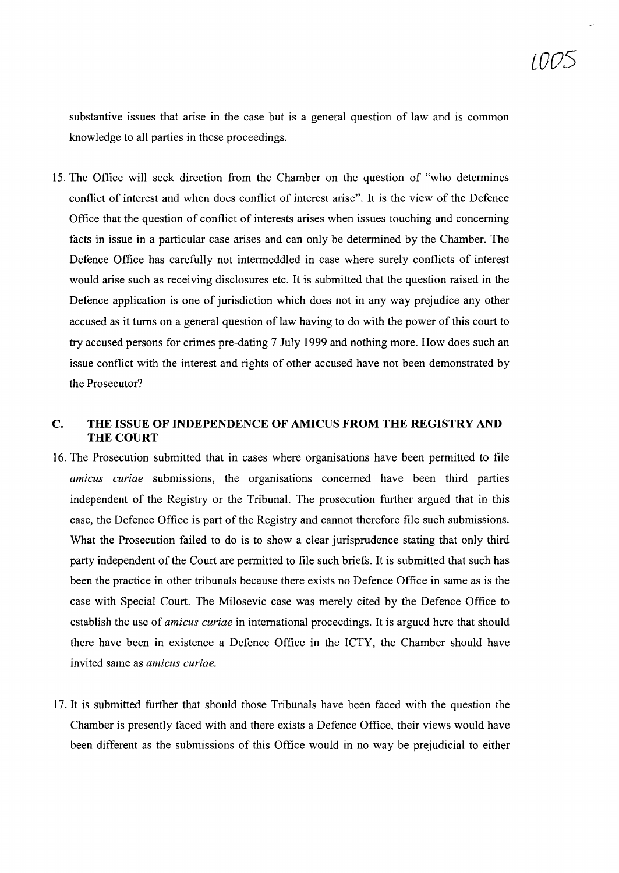substantive issues that arise in the case but is a general question of law and is common knowledge to all parties in these proceedings.

15. The Office will seek direction from the Chamber on the question of "who determines conflict of interest and when does conflict of interest arise". It is the view of the Defence Office that the question of conflict of interests arises when issues touching and concerning facts in issue in a particular case arises and can only be determined by the Chamber. The Defence Office has carefully not intermeddled in case where surely conflicts of interest would arise such as receiving disclosures etc. It is submitted that the question raised in the Defence application is one of jurisdiction which does not in any way prejudice any other accused as it turns on a general question of law having to do with the power of this court to try accused persons for crimes pre-dating 7 July 1999 and nothing more. How does such an issue conflict with the interest and rights of other accused have not been demonstrated by the Prosecutor?

# C. **THE ISSUE OF INDEPENDENCE OF AMICUS FROM THE REGISTRY AND** THE COURT

- 16. The Prosecution submitted that in cases where organisations have been permitted to file *amicus curiae* submissions, the organisations concerned have been third parties independent of the Registry or the Tribunal. The prosecution further argued that in this case, the Defence Office is part of the Registry and cannot therefore file such submissions. What the Prosecution failed to do is to show a clear jurisprudence stating that only third party independent of the Court are permitted to file such briefs. It is submitted that such has been the practice in other tribunals because there exists no Defence Office in same as is the case with Special Court. The Milosevic case was merely cited by the Defence Office to establish the use of *amicus curiae* in international proceedings. It is argued here that should there have been in existence a Defence Office in the ICTY, the Chamber should have invited same as *amicus curiae.*
- 17. It is submitted further that should those Tribunals have been faced with the question the Chamber is presently faced with and there exists a Defence Office, their views would have been different as the submissions of this Office would in no way be prejudicial to either